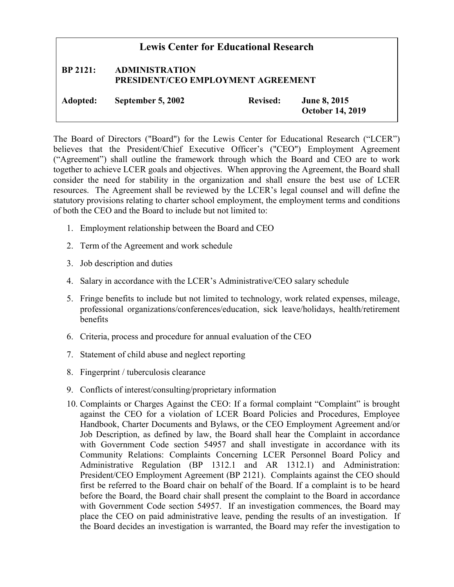| <b>Lewis Center for Educational Research</b> |                                                                    |                 |                                                |
|----------------------------------------------|--------------------------------------------------------------------|-----------------|------------------------------------------------|
| <b>BP 2121:</b>                              | <b>ADMINISTRATION</b><br><b>PRESIDENT/CEO EMPLOYMENT AGREEMENT</b> |                 |                                                |
| Adopted:                                     | September 5, 2002                                                  | <b>Revised:</b> | <b>June 8, 2015</b><br><b>October 14, 2019</b> |

The Board of Directors ("Board") for the Lewis Center for Educational Research ("LCER") believes that the President/Chief Executive Officer's ("CEO") Employment Agreement ("Agreement") shall outline the framework through which the Board and CEO are to work together to achieve LCER goals and objectives. When approving the Agreement, the Board shall consider the need for stability in the organization and shall ensure the best use of LCER resources. The Agreement shall be reviewed by the LCER's legal counsel and will define the statutory provisions relating to charter school employment, the employment terms and conditions of both the CEO and the Board to include but not limited to:

- 1. Employment relationship between the Board and CEO
- 2. Term of the Agreement and work schedule
- 3. Job description and duties
- 4. Salary in accordance with the LCER's Administrative/CEO salary schedule
- 5. Fringe benefits to include but not limited to technology, work related expenses, mileage, professional organizations/conferences/education, sick leave/holidays, health/retirement benefits
- 6. Criteria, process and procedure for annual evaluation of the CEO
- 7. Statement of child abuse and neglect reporting
- 8. Fingerprint / tuberculosis clearance
- 9. Conflicts of interest/consulting/proprietary information
- 10. Complaints or Charges Against the CEO: If a formal complaint "Complaint" is brought against the CEO for a violation of LCER Board Policies and Procedures, Employee Handbook, Charter Documents and Bylaws, or the CEO Employment Agreement and/or Job Description, as defined by law, the Board shall hear the Complaint in accordance with Government Code section 54957 and shall investigate in accordance with its Community Relations: Complaints Concerning LCER Personnel Board Policy and Administrative Regulation (BP 1312.1 and AR 1312.1) and Administration: President/CEO Employment Agreement (BP 2121). Complaints against the CEO should first be referred to the Board chair on behalf of the Board. If a complaint is to be heard before the Board, the Board chair shall present the complaint to the Board in accordance with Government Code section 54957. If an investigation commences, the Board may place the CEO on paid administrative leave, pending the results of an investigation. If the Board decides an investigation is warranted, the Board may refer the investigation to